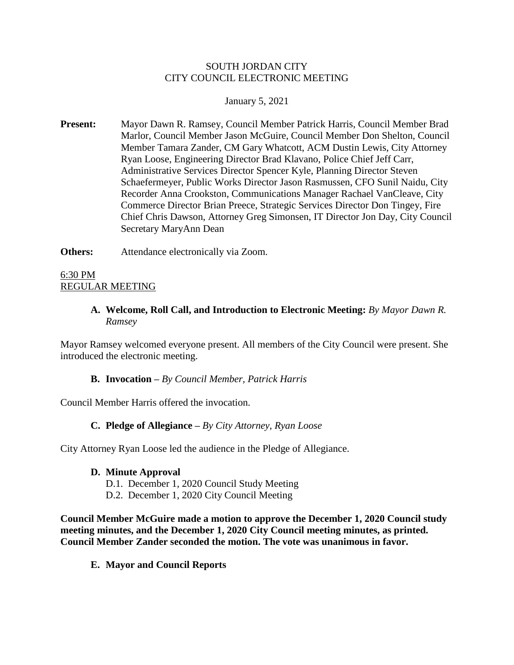## SOUTH JORDAN CITY CITY COUNCIL ELECTRONIC MEETING

## January 5, 2021

- **Present:** Mayor Dawn R. Ramsey, Council Member Patrick Harris, Council Member Brad Marlor, Council Member Jason McGuire, Council Member Don Shelton, Council Member Tamara Zander, CM Gary Whatcott, ACM Dustin Lewis, City Attorney Ryan Loose, Engineering Director Brad Klavano, Police Chief Jeff Carr, Administrative Services Director Spencer Kyle, Planning Director Steven Schaefermeyer, Public Works Director Jason Rasmussen, CFO Sunil Naidu, City Recorder Anna Crookston, Communications Manager Rachael VanCleave, City Commerce Director Brian Preece, Strategic Services Director Don Tingey, Fire Chief Chris Dawson, Attorney Greg Simonsen, IT Director Jon Day, City Council Secretary MaryAnn Dean
- **Others:** Attendance electronically via Zoom.

### 6:30 PM REGULAR MEETING

## **A. Welcome, Roll Call, and Introduction to Electronic Meeting:** *By Mayor Dawn R. Ramsey*

Mayor Ramsey welcomed everyone present. All members of the City Council were present. She introduced the electronic meeting.

### **B. Invocation –** *By Council Member, Patrick Harris*

Council Member Harris offered the invocation.

### **C. Pledge of Allegiance –** *By City Attorney, Ryan Loose*

City Attorney Ryan Loose led the audience in the Pledge of Allegiance.

#### **D. Minute Approval**

- D.1. December 1, 2020 Council Study Meeting
- D.2. December 1, 2020 City Council Meeting

**Council Member McGuire made a motion to approve the December 1, 2020 Council study meeting minutes, and the December 1, 2020 City Council meeting minutes, as printed. Council Member Zander seconded the motion. The vote was unanimous in favor.** 

**E. Mayor and Council Reports**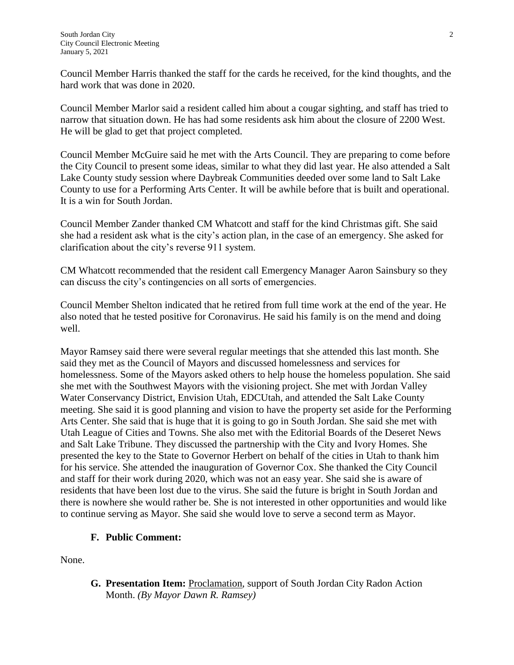Council Member Harris thanked the staff for the cards he received, for the kind thoughts, and the hard work that was done in 2020.

Council Member Marlor said a resident called him about a cougar sighting, and staff has tried to narrow that situation down. He has had some residents ask him about the closure of 2200 West. He will be glad to get that project completed.

Council Member McGuire said he met with the Arts Council. They are preparing to come before the City Council to present some ideas, similar to what they did last year. He also attended a Salt Lake County study session where Daybreak Communities deeded over some land to Salt Lake County to use for a Performing Arts Center. It will be awhile before that is built and operational. It is a win for South Jordan.

Council Member Zander thanked CM Whatcott and staff for the kind Christmas gift. She said she had a resident ask what is the city's action plan, in the case of an emergency. She asked for clarification about the city's reverse 911 system.

CM Whatcott recommended that the resident call Emergency Manager Aaron Sainsbury so they can discuss the city's contingencies on all sorts of emergencies.

Council Member Shelton indicated that he retired from full time work at the end of the year. He also noted that he tested positive for Coronavirus. He said his family is on the mend and doing well.

Mayor Ramsey said there were several regular meetings that she attended this last month. She said they met as the Council of Mayors and discussed homelessness and services for homelessness. Some of the Mayors asked others to help house the homeless population. She said she met with the Southwest Mayors with the visioning project. She met with Jordan Valley Water Conservancy District, Envision Utah, EDCUtah, and attended the Salt Lake County meeting. She said it is good planning and vision to have the property set aside for the Performing Arts Center. She said that is huge that it is going to go in South Jordan. She said she met with Utah League of Cities and Towns. She also met with the Editorial Boards of the Deseret News and Salt Lake Tribune. They discussed the partnership with the City and Ivory Homes. She presented the key to the State to Governor Herbert on behalf of the cities in Utah to thank him for his service. She attended the inauguration of Governor Cox. She thanked the City Council and staff for their work during 2020, which was not an easy year. She said she is aware of residents that have been lost due to the virus. She said the future is bright in South Jordan and there is nowhere she would rather be. She is not interested in other opportunities and would like to continue serving as Mayor. She said she would love to serve a second term as Mayor.

# **F. Public Comment:**

None.

**G. Presentation Item:** Proclamation, support of South Jordan City Radon Action Month. *(By Mayor Dawn R. Ramsey)*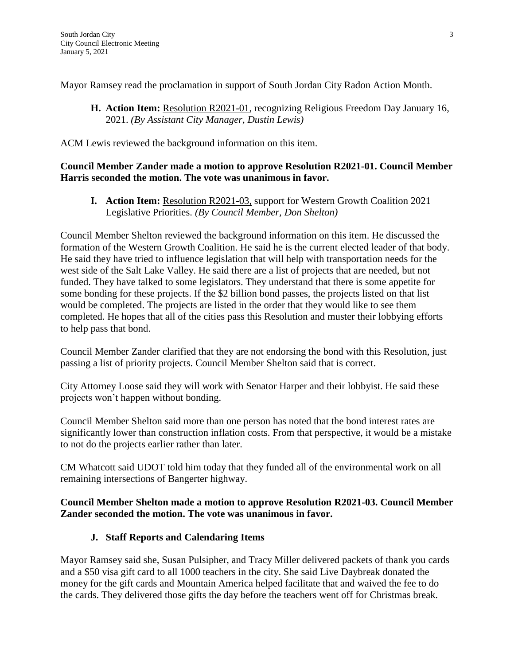Mayor Ramsey read the proclamation in support of South Jordan City Radon Action Month.

**H. Action Item:** Resolution R2021-01, recognizing Religious Freedom Day January 16, 2021. *(By Assistant City Manager, Dustin Lewis)*

ACM Lewis reviewed the background information on this item.

# **Council Member Zander made a motion to approve Resolution R2021-01. Council Member Harris seconded the motion. The vote was unanimous in favor.**

**I. Action Item:** Resolution R2021-03, support for Western Growth Coalition 2021 Legislative Priorities. *(By Council Member, Don Shelton)*

Council Member Shelton reviewed the background information on this item. He discussed the formation of the Western Growth Coalition. He said he is the current elected leader of that body. He said they have tried to influence legislation that will help with transportation needs for the west side of the Salt Lake Valley. He said there are a list of projects that are needed, but not funded. They have talked to some legislators. They understand that there is some appetite for some bonding for these projects. If the \$2 billion bond passes, the projects listed on that list would be completed. The projects are listed in the order that they would like to see them completed. He hopes that all of the cities pass this Resolution and muster their lobbying efforts to help pass that bond.

Council Member Zander clarified that they are not endorsing the bond with this Resolution, just passing a list of priority projects. Council Member Shelton said that is correct.

City Attorney Loose said they will work with Senator Harper and their lobbyist. He said these projects won't happen without bonding.

Council Member Shelton said more than one person has noted that the bond interest rates are significantly lower than construction inflation costs. From that perspective, it would be a mistake to not do the projects earlier rather than later.

CM Whatcott said UDOT told him today that they funded all of the environmental work on all remaining intersections of Bangerter highway.

# **Council Member Shelton made a motion to approve Resolution R2021-03. Council Member Zander seconded the motion. The vote was unanimous in favor.**

# **J. Staff Reports and Calendaring Items**

Mayor Ramsey said she, Susan Pulsipher, and Tracy Miller delivered packets of thank you cards and a \$50 visa gift card to all 1000 teachers in the city. She said Live Daybreak donated the money for the gift cards and Mountain America helped facilitate that and waived the fee to do the cards. They delivered those gifts the day before the teachers went off for Christmas break.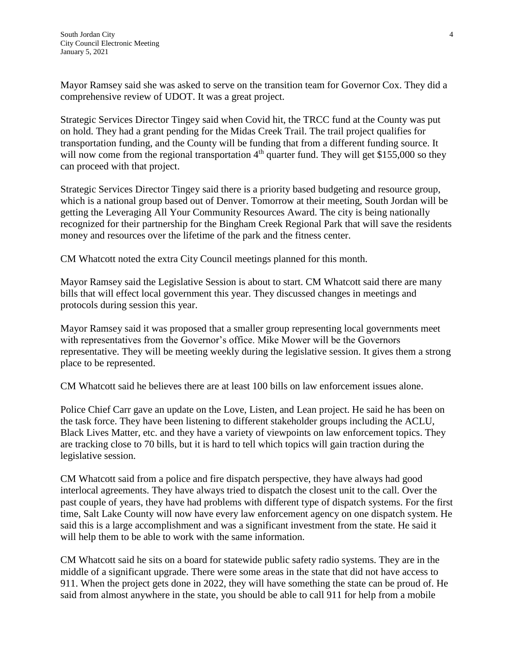Mayor Ramsey said she was asked to serve on the transition team for Governor Cox. They did a comprehensive review of UDOT. It was a great project.

Strategic Services Director Tingey said when Covid hit, the TRCC fund at the County was put on hold. They had a grant pending for the Midas Creek Trail. The trail project qualifies for transportation funding, and the County will be funding that from a different funding source. It will now come from the regional transportation  $4<sup>th</sup>$  quarter fund. They will get \$155,000 so they can proceed with that project.

Strategic Services Director Tingey said there is a priority based budgeting and resource group, which is a national group based out of Denver. Tomorrow at their meeting, South Jordan will be getting the Leveraging All Your Community Resources Award. The city is being nationally recognized for their partnership for the Bingham Creek Regional Park that will save the residents money and resources over the lifetime of the park and the fitness center.

CM Whatcott noted the extra City Council meetings planned for this month.

Mayor Ramsey said the Legislative Session is about to start. CM Whatcott said there are many bills that will effect local government this year. They discussed changes in meetings and protocols during session this year.

Mayor Ramsey said it was proposed that a smaller group representing local governments meet with representatives from the Governor's office. Mike Mower will be the Governors representative. They will be meeting weekly during the legislative session. It gives them a strong place to be represented.

CM Whatcott said he believes there are at least 100 bills on law enforcement issues alone.

Police Chief Carr gave an update on the Love, Listen, and Lean project. He said he has been on the task force. They have been listening to different stakeholder groups including the ACLU, Black Lives Matter, etc. and they have a variety of viewpoints on law enforcement topics. They are tracking close to 70 bills, but it is hard to tell which topics will gain traction during the legislative session.

CM Whatcott said from a police and fire dispatch perspective, they have always had good interlocal agreements. They have always tried to dispatch the closest unit to the call. Over the past couple of years, they have had problems with different type of dispatch systems. For the first time, Salt Lake County will now have every law enforcement agency on one dispatch system. He said this is a large accomplishment and was a significant investment from the state. He said it will help them to be able to work with the same information.

CM Whatcott said he sits on a board for statewide public safety radio systems. They are in the middle of a significant upgrade. There were some areas in the state that did not have access to 911. When the project gets done in 2022, they will have something the state can be proud of. He said from almost anywhere in the state, you should be able to call 911 for help from a mobile